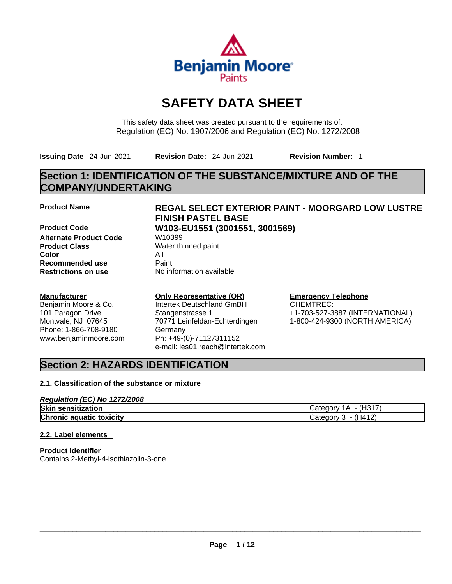

# **SAFETY DATA SHEET**

This safety data sheet was created pursuant to the requirements of: Regulation (EC) No. 1907/2006 and Regulation (EC) No. 1272/2008

**Issuing Date** 24-Jun-2021 **Revision Date:** 24-Jun-2021 **Revision Number:** 1

# **Section 1: IDENTIFICATION OF THE SUBSTANCE/MIXTURE AND OF THE COMPANY/UNDERTAKING**

**Product Code W103-EU1551 (3001551, 3001569) Alternate Product Code W10399 Product Class** Water thinned paint **Color** All **Recommended use** Paint<br> **Restrictions on use** Mo information available **Restrictions** on use

#### **Manufacturer**

Benjamin Moore & Co. 101 Paragon Drive Montvale, NJ 07645 Phone: 1-866-708-9180 www.benjaminmoore.com

# **Product Name REGAL SELECT EXTERIOR PAINT - MOORGARD LOW LUSTRE FINISH PASTEL BASE**

## **Only Representative (OR)**

Intertek Deutschland GmBH Stangenstrasse 1 70771 Leinfeldan-Echterdingen Germany Ph: +49-(0)-71127311152 e-mail: ies01.reach@intertek.com

# **Emergency Telephone**

CHEMTREC: +1-703-527-3887 (INTERNATIONAL) 1-800-424-9300 (NORTH AMERICA)

# **Section 2: HAZARDS IDENTIFICATION**

#### **2.1. Classification of the substance or mixture**

| Regulation (EC) No 1272/2008    |                       |
|---------------------------------|-----------------------|
| <b>Skin sensitization</b>       | (H317<br>iCategory 1A |
| <b>Chronic aquatic toxicity</b> | Category $3 - (H412)$ |

#### **2.2. Label elements**

**Product Identifier** Contains 2-Methyl-4-isothiazolin-3-one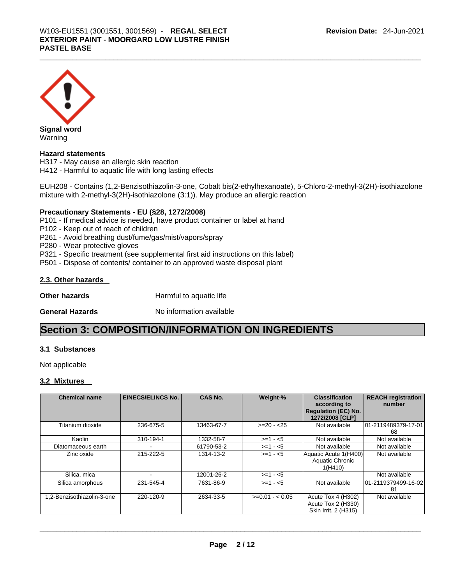

Warning

#### **Hazard statements**

H317 - May cause an allergic skin reaction H412 - Harmful to aquatic life with long lasting effects

EUH208 - Contains (1,2-Benzisothiazolin-3-one, Cobalt bis(2-ethylhexanoate), 5-Chloro-2-methyl-3(2H)-isothiazolone mixture with 2-methyl-3(2H)-isothiazolone (3:1)). May produce an allergic reaction

#### **Precautionary Statements - EU (§28, 1272/2008)**

P101 - If medical advice is needed, have product container or label at hand

P102 - Keep out of reach of children

P261 - Avoid breathing dust/fume/gas/mist/vapors/spray

P280 - Wear protective gloves

P321 - Specific treatment (see supplemental first aid instructions on this label)

P501 - Dispose of contents/ container to an approved waste disposal plant

#### **2.3. Other hazards**

**Other hazards Harmful to aquatic life** 

**General Hazards No information available** 

# **Section 3: COMPOSITION/INFORMATION ON INGREDIENTS**

#### **3.1 Substances**

Not applicable

#### **3.2 Mixtures**

| <b>Chemical name</b>      | <b>EINECS/ELINCS No.</b> | <b>CAS No.</b> | Weight-%        | <b>Classification</b><br>according to<br><b>Regulation (EC) No.</b><br>1272/2008 [CLP] | <b>REACH registration</b><br>number |
|---------------------------|--------------------------|----------------|-----------------|----------------------------------------------------------------------------------------|-------------------------------------|
| Titanium dioxide          | 236-675-5                | 13463-67-7     | $>=20 - 25$     | Not available                                                                          | 01-2119489379-17-01<br>68           |
| Kaolin                    | 310-194-1                | 1332-58-7      | $>=1 - 5$       | Not available                                                                          | Not available                       |
| Diatomaceous earth        |                          | 61790-53-2     | $>=1 - 5$       | Not available                                                                          | Not available                       |
| Zinc oxide                | 215-222-5                | 1314-13-2      | $>= 1 - 5$      | Aquatic Acute 1(H400)<br>Aquatic Chronic<br>1(H410)                                    | Not available                       |
| Silica, mica              |                          | 12001-26-2     | $>=1 - 5$       |                                                                                        | Not available                       |
| Silica amorphous          | 231-545-4                | 7631-86-9      | $>=1 - 5$       | Not available                                                                          | 01-2119379499-16-02<br>-81          |
| .2-Benzisothiazolin-3-one | 220-120-9                | 2634-33-5      | $>=0.01 - 0.05$ | Acute Tox 4 (H302)<br>Acute Tox 2 (H330)<br>Skin Irrit. 2 (H315)                       | Not available                       |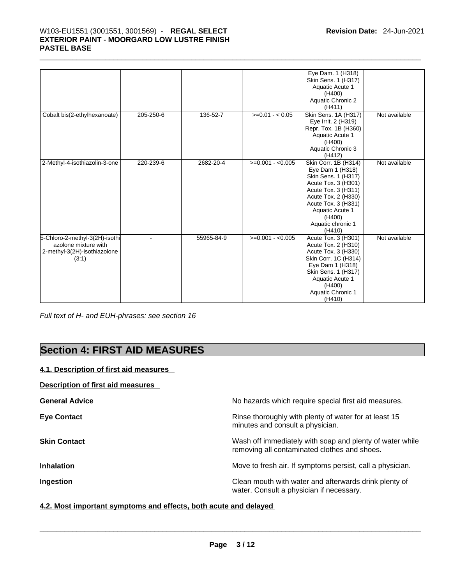# \_\_\_\_\_\_\_\_\_\_\_\_\_\_\_\_\_\_\_\_\_\_\_\_\_\_\_\_\_\_\_\_\_\_\_\_\_\_\_\_\_\_\_\_\_\_\_\_\_\_\_\_\_\_\_\_\_\_\_\_\_\_\_\_\_\_\_\_\_\_\_\_\_\_\_\_\_\_\_\_\_\_\_\_\_\_\_\_\_\_\_\_\_ W103-EU1551 (3001551, 3001569) - **REGAL SELECT EXTERIOR PAINT - MOORGARD LOW LUSTRE FINISH PASTEL BASE**

|                                                                                                 |           |            |                   | Eye Dam. 1 (H318)<br>Skin Sens. 1 (H317)<br>Aquatic Acute 1<br>(H400)<br>Aquatic Chronic 2<br>(H411)                                                                                                                    |               |
|-------------------------------------------------------------------------------------------------|-----------|------------|-------------------|-------------------------------------------------------------------------------------------------------------------------------------------------------------------------------------------------------------------------|---------------|
| Cobalt bis(2-ethylhexanoate)                                                                    | 205-250-6 | 136-52-7   | $>=0.01 - 0.05$   | Skin Sens. 1A (H317)<br>Eye Irrit. 2 (H319)<br>Repr. Tox. 1B (H360)<br>Aquatic Acute 1<br>(H400)<br>Aquatic Chronic 3<br>(H412)                                                                                         | Not available |
| 2-Methyl-4-isothiazolin-3-one                                                                   | 220-239-6 | 2682-20-4  | $>=0.001 - 0.005$ | Skin Corr. 1B (H314)<br>Eye Dam 1 (H318)<br>Skin Sens. 1 (H317)<br>Acute Tox. 3 (H301)<br>Acute Tox. 3 (H311)<br>Acute Tox. 2 (H330)<br>Acute Tox. 3 (H331)<br>Aquatic Acute 1<br>(H400)<br>Aquatic chronic 1<br>(H410) | Not available |
| 5-Chloro-2-methyl-3(2H)-isothi<br>azolone mixture with<br>2-methyl-3(2H)-isothiazolone<br>(3:1) |           | 55965-84-9 | $>=0.001 - 0.005$ | Acute Tox. 3 (H301)<br>Acute Tox. 2 (H310)<br>Acute Tox. 3 (H330)<br>Skin Corr. 1C (H314)<br>Eye Dam 1 (H318)<br>Skin Sens. 1 (H317)<br><b>Aquatic Acute 1</b><br>(H400)<br>Aquatic Chronic 1<br>(H410)                 | Not available |

*Full text of H- and EUH-phrases: see section 16* 

# **Section 4: FIRST AID MEASURES**

## **4.1. Description of first aid measures**

### **Description of first aid measures**

| <b>General Advice</b> | No hazards which require special first aid measures.                                                     |
|-----------------------|----------------------------------------------------------------------------------------------------------|
| <b>Eye Contact</b>    | Rinse thoroughly with plenty of water for at least 15<br>minutes and consult a physician.                |
| <b>Skin Contact</b>   | Wash off immediately with soap and plenty of water while<br>removing all contaminated clothes and shoes. |
| <b>Inhalation</b>     | Move to fresh air. If symptoms persist, call a physician.                                                |
| Ingestion             | Clean mouth with water and afterwards drink plenty of<br>water. Consult a physician if necessary.        |

**4.2. Most important symptoms and effects, both acute and delayed**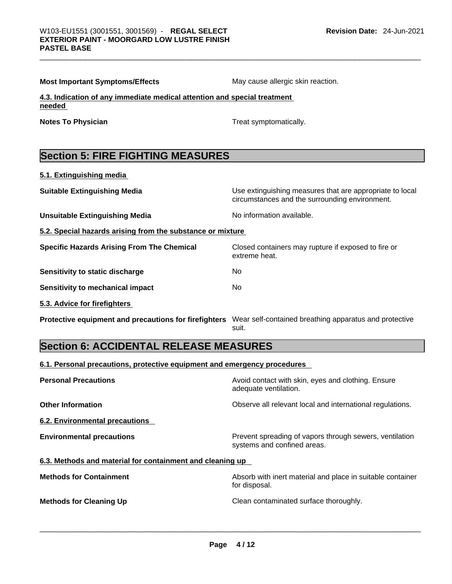| <b>Most Important Symptoms/Effects</b> |  |  |
|----------------------------------------|--|--|
|----------------------------------------|--|--|

**May cause allergic skin reaction.** 

**4.3. Indication of any immediate medical attention and special treatment needed** 

**Notes To Physician** Motes To Physician Treat symptomatically.

# **Section 5: FIRE FIGHTING MEASURES**

| 5.1. Extinguishing media |  |
|--------------------------|--|
|--------------------------|--|

**Suitable Extinguishing Media** Use extinguishing measures that are appropriate to local circumstances and the surrounding environment.

**Unsuitable Extinguishing Media** Noinformation available.

extreme heat.

**5.2. Special hazards arising from the substance or mixture**

**Specific Hazards Arising From The Chemical Closed containers may rupture if exposed to fire or** 

**Sensitivity to static discharge** No

**Sensitivity to mechanical impact** No

**5.3. Advice for firefighters** 

**Protective equipment and precautions for firefighters** Wear self-contained breathing apparatus and protective suit.

# **Section 6: ACCIDENTAL RELEASE MEASURES**

**6.1. Personal precautions, protective equipment and emergency procedures**

| <b>Personal Precautions</b>                               | Avoid contact with skin, eyes and clothing. Ensure<br>adequate ventilation.            |
|-----------------------------------------------------------|----------------------------------------------------------------------------------------|
| <b>Other Information</b>                                  | Observe all relevant local and international regulations.                              |
| 6.2. Environmental precautions                            |                                                                                        |
| <b>Environmental precautions</b>                          | Prevent spreading of vapors through sewers, ventilation<br>systems and confined areas. |
| 6.3. Methods and material for containment and cleaning up |                                                                                        |
| <b>Methods for Containment</b>                            | Absorb with inert material and place in suitable container<br>for disposal.            |
| <b>Methods for Cleaning Up</b>                            | Clean contaminated surface thoroughly.                                                 |
|                                                           |                                                                                        |
|                                                           |                                                                                        |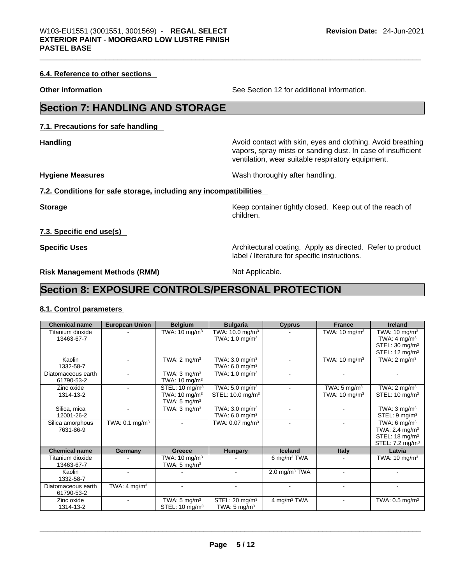#### **6.4. Reference to other sections**

**Other information** See Section 12 for additional information.

# **Section 7: HANDLING AND STORAGE**

**7.1. Precautions for safe handling** 

**Handling Handling Avoid contact with skin, eyes and clothing. Avoid breathing** 

**Hygiene Measures**  Wash thoroughly after handling.

vapors, spray mists or sanding dust. In case of insufficient ventilation, wear suitable respiratory equipment.

**7.2. Conditions for safe storage, including any incompatibilities**

**Storage Storage Keep container tightly closed. Keep out of the reach of the reach of** children.

**7.3. Specific end use(s)** 

**Specific Uses <b>Specific Uses Architectural coating.** Apply as directed. Refer to product label / literature for specific instructions.

**Risk Management Methods (RMM)** Not Applicable.

# **Section 8: EXPOSURE CONTROLS/PERSONAL PROTECTION**

#### **8.1. Control parameters**

| <b>Chemical name</b> | <b>European Union</b>        | <b>Belgium</b>             | <b>Bulgaria</b>               | <b>Cyprus</b>             | <b>France</b>            | <b>Ireland</b>               |  |
|----------------------|------------------------------|----------------------------|-------------------------------|---------------------------|--------------------------|------------------------------|--|
| Titanium dioxide     |                              | TWA: $10 \text{ mg/m}^3$   | TWA: $10.0$ mg/m <sup>3</sup> |                           | TWA: $10 \text{ mg/m}^3$ | TWA: $10 \text{ mg/m}^3$     |  |
| 13463-67-7           |                              |                            | TWA: $1.0 \text{ mg/m}^3$     |                           |                          | TWA: $4 \text{ mg/m}^3$      |  |
|                      |                              |                            |                               |                           |                          | STEL: 30 mg/m <sup>3</sup>   |  |
|                      |                              |                            |                               |                           |                          | STEL: $12 \text{ mg/m}^3$    |  |
| Kaolin               |                              | TWA: $2 \text{ mg/m}^3$    | TWA: $3.0 \text{ mg/m}^3$     |                           | TWA: $10 \text{ mg/m}^3$ | TWA: $2 \text{ mq/m}^3$      |  |
| 1332-58-7            |                              |                            | TWA: $6.0 \text{ mg/m}^3$     |                           |                          |                              |  |
| Diatomaceous earth   |                              | TWA: $3 \text{ mq/m}^3$    | TWA: $1.0$ mg/m <sup>3</sup>  |                           |                          |                              |  |
| 61790-53-2           |                              | TWA: $10 \text{ mg/m}^3$   |                               |                           |                          |                              |  |
| Zinc oxide           |                              | STEL: 10 mg/m <sup>3</sup> | TWA: 5.0 mg/m <sup>3</sup>    |                           | TWA: $5 \text{ mg/m}^3$  | TWA: $2 \text{ mq/m}^3$      |  |
| 1314-13-2            |                              | TWA: $10 \text{ mg/m}^3$   | STEL: 10.0 mg/m <sup>3</sup>  |                           | TWA: $10 \text{ mg/m}^3$ | STEL: $10 \text{ mg/m}^3$    |  |
|                      |                              | TWA: $5 \text{ mg/m}^3$    |                               |                           |                          |                              |  |
| Silica, mica         |                              | TWA: $3 \text{ mg/m}^3$    | TWA: $3.0 \text{ mg/m}^3$     |                           |                          | TWA: $3 \text{ mg/m}^3$      |  |
| 12001-26-2           |                              |                            | TWA: $6.0$ mg/m <sup>3</sup>  |                           |                          | STEL: 9 mg/m <sup>3</sup>    |  |
| Silica amorphous     | TWA: $0.1$ mg/m <sup>3</sup> |                            | TWA: $0.07$ mg/m <sup>3</sup> |                           |                          | TWA: 6 $mg/m3$               |  |
| 7631-86-9            |                              |                            |                               |                           |                          | TWA: 2.4 mg/m <sup>3</sup>   |  |
|                      |                              |                            |                               |                           |                          | STEL: $18 \text{ mg/m}^3$    |  |
|                      |                              |                            |                               |                           |                          | STEL: 7.2 mg/m <sup>3</sup>  |  |
| <b>Chemical name</b> | Germany                      | Greece                     | <b>Hungary</b>                | Iceland                   | <b>Italy</b>             | Latvia                       |  |
| Titanium dioxide     |                              | TWA: $10 \text{ mg/m}^3$   |                               | 6 mg/m $3$ TWA            |                          | TWA: $10 \text{ mg/m}^3$     |  |
| 13463-67-7           |                              | TWA: $5 \text{ mg/m}^3$    |                               |                           |                          |                              |  |
| Kaolin               |                              |                            |                               | 2.0 mg/m <sup>3</sup> TWA |                          |                              |  |
| 1332-58-7            |                              |                            |                               |                           |                          |                              |  |
| Diatomaceous earth   | TWA: $4 \text{ mg/m}^3$      | ÷                          |                               |                           |                          |                              |  |
| 61790-53-2           |                              |                            |                               |                           |                          |                              |  |
| Zinc oxide           |                              | TWA: $5 \text{ mg/m}^3$    | STEL: 20 mg/m <sup>3</sup>    | 4 mg/m <sup>3</sup> TWA   |                          | TWA: $0.5$ mg/m <sup>3</sup> |  |
| 1314-13-2            |                              | STEL: 10 mg/m <sup>3</sup> | TWA: $5 \text{ mg/m}^3$       |                           |                          |                              |  |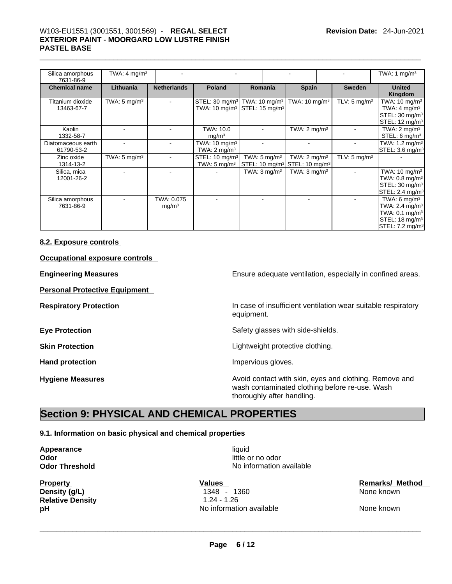# \_\_\_\_\_\_\_\_\_\_\_\_\_\_\_\_\_\_\_\_\_\_\_\_\_\_\_\_\_\_\_\_\_\_\_\_\_\_\_\_\_\_\_\_\_\_\_\_\_\_\_\_\_\_\_\_\_\_\_\_\_\_\_\_\_\_\_\_\_\_\_\_\_\_\_\_\_\_\_\_\_\_\_\_\_\_\_\_\_\_\_\_\_ W103-EU1551 (3001551, 3001569) - **REGAL SELECT EXTERIOR PAINT - MOORGARD LOW LUSTRE FINISH PASTEL BASE**

| Silica amorphous<br>7631-86-9    | TWA: $4 \text{ mg/m}^3$ |                                 |                                                                                                                  |                                                                                  |                          |                         | TWA: 1 $mg/m3$                                                                                                               |
|----------------------------------|-------------------------|---------------------------------|------------------------------------------------------------------------------------------------------------------|----------------------------------------------------------------------------------|--------------------------|-------------------------|------------------------------------------------------------------------------------------------------------------------------|
| <b>Chemical name</b>             | Lithuania               | <b>Netherlands</b>              | Poland                                                                                                           | Romania                                                                          | <b>Spain</b>             | <b>Sweden</b>           | <b>United</b><br>Kingdom                                                                                                     |
| Titanium dioxide<br>13463-67-7   | TWA: $5 \text{ mg/m}^3$ |                                 | STEL: 30 mg/m <sup>3</sup>   TWA: 10 mg/m <sup>3</sup>  <br>TWA: 10 mg/m <sup>3</sup> STEL: 15 mg/m <sup>3</sup> |                                                                                  | TWA: $10 \text{ mg/m}^3$ | TLV: $5 \text{ mg/m}^3$ | TWA: $10 \text{ mg/m}^3$<br>TWA: $4 \text{ mg/m}^3$<br>STEL: 30 mg/m <sup>3</sup><br>STEL: 12 mg/m <sup>3</sup>              |
| Kaolin<br>1332-58-7              |                         |                                 | TWA: 10.0<br>mg/m <sup>3</sup>                                                                                   |                                                                                  | TWA: $2 \text{ mg/m}^3$  |                         | TWA: $2 \text{ mg/m}^3$<br>STEL: $6 \text{ mg/m}^3$                                                                          |
| Diatomaceous earth<br>61790-53-2 |                         |                                 | TWA: $10 \text{ mg/m}^3$<br>TWA: $2 \text{ mg/m}^3$                                                              |                                                                                  |                          |                         | TWA: 1.2 mg/m <sup>3</sup><br>STEL: 3.6 mg/m <sup>3</sup>                                                                    |
| Zinc oxide<br>1314-13-2          | TWA: $5 \text{ mg/m}^3$ |                                 | STEL: 10 mg/m <sup>3</sup><br>TWA: $5 \text{ mg/m}^3$                                                            | TWA: $5 \text{ mg/m}^3$<br>STEL: 10 mg/m <sup>3</sup> STEL: 10 mg/m <sup>3</sup> | TWA: $2 \text{ mg/m}^3$  | TLV: $5 \text{ mg/m}^3$ |                                                                                                                              |
| Silica, mica<br>12001-26-2       |                         |                                 |                                                                                                                  | TWA: $3 \text{ mg/m}^3$                                                          | TWA: $3 \text{ mq/m}^3$  |                         | TWA: $10 \text{ mg/m}^3$<br>TWA: $0.8 \text{ mg/m}^3$<br>STEL: 30 mg/m <sup>3</sup><br>STEL: 2.4 mg/m <sup>3</sup>           |
| Silica amorphous<br>7631-86-9    |                         | TWA: 0.075<br>mg/m <sup>3</sup> |                                                                                                                  |                                                                                  |                          |                         | TWA: 6 $mq/m3$<br>TWA: 2.4 $mq/m3$<br>TWA: $0.1 \text{ mg/m}^3$<br>STEL: 18 mg/m <sup>3</sup><br>STEL: 7.2 mg/m <sup>3</sup> |

#### **8.2. Exposure controls**

**Occupational exposure controls** 

**Personal Protective Equipment** 

**Engineering Measures Ensure** Ensure adequate ventilation, especially in confined areas.

**Respiratory Protection In case of insufficient ventilation wear suitable respiratory** equipment.

**Eye Protection Exercise 2 Safety glasses with side-shields.** 

**Skin Protection** Lightweight protective clothing.

Hand protection **Impervious** gloves.

**No information available** 

**Hygiene Measures Avoid contact with skin, eyes and clothing. Remove and Hygiene Measures Avoid contact with skin, eyes and clothing. Remove and** wash contaminated clothing before re-use. Wash thoroughly after handling.

# **Section 9: PHYSICAL AND CHEMICAL PROPERTIES**

### **9.1. Information on basic physical and chemical properties**

**Appearance** liquid **Odor** little or no odor

**Density (g/L)** 1348 - 1360 **Relative Density** 1.24 - 1.26 **pH** No information available None known None known<br>
None known None known None known None known None known None known None known None known None known None known

Property **Values** Values **Values** Values **Remarks/ Method Density (q/L) Remarks/ Method Density (q/L)**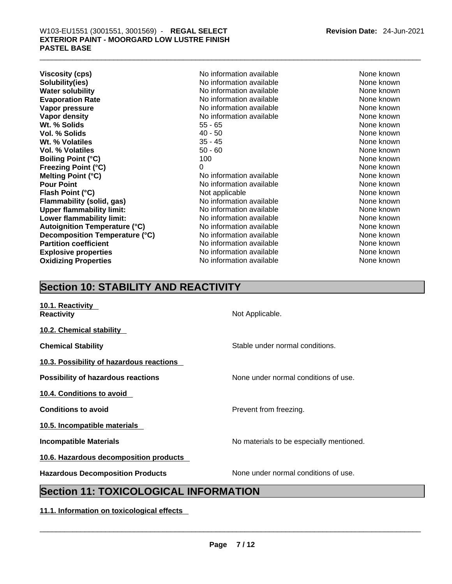| <b>Viscosity (cps)</b>               | No information available | None known |
|--------------------------------------|--------------------------|------------|
| Solubility(ies)                      | No information available | None known |
| <b>Water solubility</b>              | No information available | None known |
| <b>Evaporation Rate</b>              | No information available | None known |
| Vapor pressure                       | No information available | None known |
| Vapor density                        | No information available | None known |
| Wt. % Solids                         | 55 - 65                  | None known |
| Vol. % Solids                        | 40 - 50                  | None known |
| Wt. % Volatiles                      | $35 - 45$                | None known |
| <b>Vol. % Volatiles</b>              | $50 - 60$                | None known |
| <b>Boiling Point (°C)</b>            | 100                      | None known |
| <b>Freezing Point (°C)</b>           | 0                        | None known |
| Melting Point (°C)                   | No information available | None known |
| <b>Pour Point</b>                    | No information available | None known |
| Flash Point (°C)                     | Not applicable           | None known |
| <b>Flammability (solid, gas)</b>     | No information available | None known |
| <b>Upper flammability limit:</b>     | No information available | None known |
| Lower flammability limit:            | No information available | None known |
| <b>Autoignition Temperature (°C)</b> | No information available | None known |
| Decomposition Temperature (°C)       | No information available | None known |
| <b>Partition coefficient</b>         | No information available | None known |
| <b>Explosive properties</b>          | No information available | None known |
| <b>Oxidizing Properties</b>          | No information available | None known |
|                                      |                          |            |

# **Section 10: STABILITY AND REACTIVITY**

| 10.1. Reactivity<br><b>Reactivity</b>        | Not Applicable.                          |  |  |  |
|----------------------------------------------|------------------------------------------|--|--|--|
| 10.2. Chemical stability                     |                                          |  |  |  |
| <b>Chemical Stability</b>                    | Stable under normal conditions.          |  |  |  |
| 10.3. Possibility of hazardous reactions     |                                          |  |  |  |
| <b>Possibility of hazardous reactions</b>    | None under normal conditions of use.     |  |  |  |
| 10.4. Conditions to avoid                    |                                          |  |  |  |
| <b>Conditions to avoid</b>                   | Prevent from freezing.                   |  |  |  |
| 10.5. Incompatible materials                 |                                          |  |  |  |
| <b>Incompatible Materials</b>                | No materials to be especially mentioned. |  |  |  |
| 10.6. Hazardous decomposition products       |                                          |  |  |  |
| <b>Hazardous Decomposition Products</b>      | None under normal conditions of use.     |  |  |  |
| <b>Section 11: TOXICOLOGICAL INFORMATION</b> |                                          |  |  |  |

**11.1. Information on toxicological effects**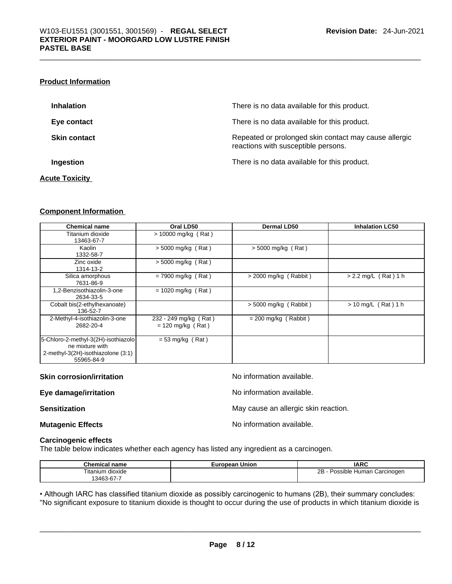#### **Product Information**

| <b>Inhalation</b>   | There is no data available for this product.                                                 |
|---------------------|----------------------------------------------------------------------------------------------|
| Eye contact         | There is no data available for this product.                                                 |
| <b>Skin contact</b> | Repeated or prolonged skin contact may cause allergic<br>reactions with susceptible persons. |
| Ingestion           | There is no data available for this product.                                                 |

#### **Acute Toxicity**

#### **Component Information**

| <b>Chemical name</b>                                                                                       | Oral LD50                                    | Dermal LD50             | <b>Inhalation LC50</b> |
|------------------------------------------------------------------------------------------------------------|----------------------------------------------|-------------------------|------------------------|
| Titanium dioxide<br>13463-67-7                                                                             | $> 10000$ mg/kg (Rat)                        |                         |                        |
| Kaolin<br>1332-58-7                                                                                        | $> 5000$ mg/kg (Rat)                         | $>$ 5000 mg/kg (Rat)    |                        |
| Zinc oxide<br>1314-13-2                                                                                    | $>$ 5000 mg/kg (Rat)                         |                         |                        |
| Silica amorphous<br>7631-86-9                                                                              | $= 7900$ mg/kg (Rat)                         | $>$ 2000 mg/kg (Rabbit) | $> 2.2$ mg/L (Rat) 1 h |
| 1,2-Benzisothiazolin-3-one<br>2634-33-5                                                                    | $= 1020$ mg/kg (Rat)                         |                         |                        |
| Cobalt bis(2-ethylhexanoate)<br>136-52-7                                                                   |                                              | $> 5000$ mg/kg (Rabbit) | $> 10$ mg/L (Rat) 1 h  |
| 2-Methyl-4-isothiazolin-3-one<br>2682-20-4                                                                 | 232 - 249 mg/kg (Rat)<br>$= 120$ mg/kg (Rat) | $= 200$ mg/kg (Rabbit)  |                        |
| 5-Chloro-2-methyl-3(2H)-isothiazolo<br>ne mixture with<br>2-methyl-3(2H)-isothiazolone (3:1)<br>55965-84-9 | $= 53$ mg/kg (Rat)                           |                         |                        |

#### **Skin corrosion/irritation** No information available.

**Eye damage/irritation Eye damage/irritation No information available.** 

**Sensitization May cause an allergic skin reaction.** May cause an allergic skin reaction.

**Mutagenic Effects Mutagenic Effects No information available.** 

#### **Carcinogenic effects**

The table below indicates whether each agency has listed any ingredient as a carcinogen.

| Chemical name    | European Union | <b>IARC</b>                     |
|------------------|----------------|---------------------------------|
| Fitanium dioxide |                | 2Β<br>Possible Human Carcinogen |
| 3463-67-7        |                |                                 |

• Although IARC has classified titanium dioxide as possibly carcinogenic to humans (2B), their summary concludes: "No significant exposure to titanium dioxide is thought to occur during the use of products in which titanium dioxide is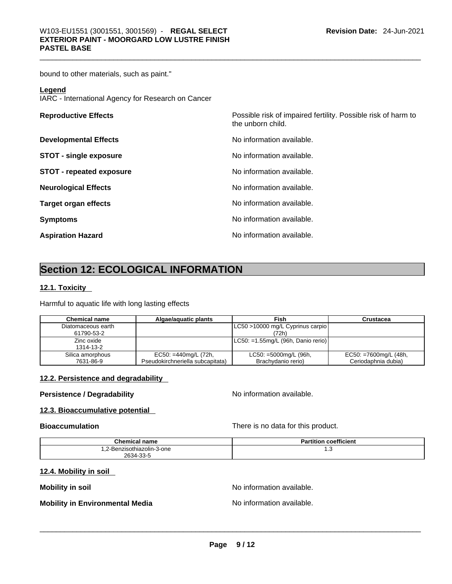bound to other materials, such as paint."

#### **Legend**

IARC - International Agency for Research on Cancer

| <b>Reproductive Effects</b>     | Possible risk of impaired fertility. Possible risk of harm to<br>the unborn child. |
|---------------------------------|------------------------------------------------------------------------------------|
| <b>Developmental Effects</b>    | No information available.                                                          |
| <b>STOT - single exposure</b>   | No information available.                                                          |
| <b>STOT - repeated exposure</b> | No information available.                                                          |
| <b>Neurological Effects</b>     | No information available.                                                          |
| <b>Target organ effects</b>     | No information available.                                                          |
| <b>Symptoms</b>                 | No information available.                                                          |
| <b>Aspiration Hazard</b>        | No information available.                                                          |

# **Section 12: ECOLOGICAL INFORMATION**

#### **12.1. Toxicity**

Harmful to aquatic life with long lasting effects

| <b>Chemical name</b> | Algae/aguatic plants             | Fish                                   | Crustacea                |
|----------------------|----------------------------------|----------------------------------------|--------------------------|
| Diatomaceous earth   |                                  | LC50 >10000 mg/L Cyprinus carpio       |                          |
| 61790-53-2           |                                  | (72h)                                  |                          |
| Zinc oxide           |                                  | $ $ LC50: =1.55mg/L (96h, Danio rerio) |                          |
| 1314-13-2            |                                  |                                        |                          |
| Silica amorphous     | EC50: =440mg/L (72h,             | $LC50: =5000mg/L (96h,$                | $EC50: = 7600mg/L (48h,$ |
| 7631-86-9            | Pseudokirchneriella subcapitata) | Brachydanio rerio)                     | Ceriodaphnia dubia)      |

#### **12.2. Persistence and degradability**

## **Persistence / Degradability No information available.**

#### **12.3. Bioaccumulative potential**

**Bioaccumulation Bioaccumulation There is no data for this product.** 

| <b>Chemical name</b>       | <b>Partition coefficient</b> |
|----------------------------|------------------------------|
| 1.2-Benzisothiazolin-3-one | ں. ا                         |
| 2634-33-5                  |                              |

#### **12.4. Mobility in soil**

**Mobility in soil Mobility in soil Mobility in soil** 

# **Mobility in Environmental Media** No information available. \_\_\_\_\_\_\_\_\_\_\_\_\_\_\_\_\_\_\_\_\_\_\_\_\_\_\_\_\_\_\_\_\_\_\_\_\_\_\_\_\_\_\_\_\_\_\_\_\_\_\_\_\_\_\_\_\_\_\_\_\_\_\_\_\_\_\_\_\_\_\_\_\_\_\_\_\_\_\_\_\_\_\_\_\_\_\_\_\_\_\_\_\_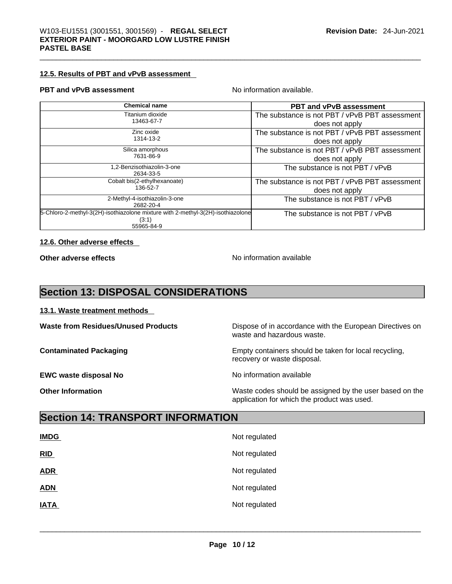#### **12.5. Results of PBT and vPvB assessment**

#### **PBT** and **vPvB** assessment No information available.

| <b>Chemical name</b>                                                            | <b>PBT and vPvB assessment</b>                 |
|---------------------------------------------------------------------------------|------------------------------------------------|
| Titanium dioxide                                                                | The substance is not PBT / vPvB PBT assessment |
| 13463-67-7                                                                      | does not apply                                 |
| Zinc oxide                                                                      | The substance is not PBT / vPvB PBT assessment |
| 1314-13-2                                                                       | does not apply                                 |
| Silica amorphous                                                                | The substance is not PBT / vPvB PBT assessment |
| 7631-86-9                                                                       | does not apply                                 |
| ,2-Benzisothiazolin-3-one                                                       | The substance is not PBT / vPvB                |
| 2634-33-5                                                                       |                                                |
| Cobalt bis(2-ethylhexanoate)                                                    | The substance is not PBT / vPvB PBT assessment |
| 136-52-7                                                                        | does not apply                                 |
| 2-Methyl-4-isothiazolin-3-one                                                   | The substance is not PBT / vPvB                |
| 2682-20-4                                                                       |                                                |
| 5-Chloro-2-methyl-3(2H)-isothiazolone mixture with 2-methyl-3(2H)-isothiazolone | The substance is not PBT / vPvB                |
| (3:1)                                                                           |                                                |
| 55965-84-9                                                                      |                                                |

#### **12.6. Other adverse effects**

**Other adverse effects No information available** 

application for which the product was used.

# **Section 13: DISPOSAL CONSIDERATIONS**

#### **13.1. Waste treatment methods**

| <b>Waste from Residues/Unused Products</b> | Dispose of in accordance with the European Directives on<br>waste and hazardous waste. |
|--------------------------------------------|----------------------------------------------------------------------------------------|
| <b>Contaminated Packaging</b>              | Empty containers should be taken for local recycling,<br>recovery or waste disposal.   |
| <b>EWC waste disposal No</b>               | No information available                                                               |
| <b>Other Information</b>                   | Waste codes should be assigned by the user based on the                                |

**Section 14: TRANSPORT INFORMATION** 

| <b>IMDG</b> | Not regulated |
|-------------|---------------|
| RID         | Not regulated |
| <b>ADR</b>  | Not regulated |
| <b>ADN</b>  | Not regulated |
| <b>IATA</b> | Not regulated |
|             |               |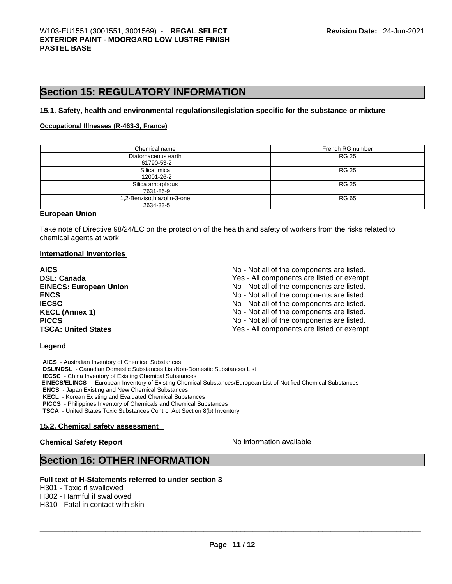# **Section 15: REGULATORY INFORMATION**

#### **15.1. Safety, health and environmental regulations/legislation specific for the substance or mixture**

#### **Occupational Illnesses (R-463-3, France)**

| Chemical name                           | French RG number |
|-----------------------------------------|------------------|
| Diatomaceous earth<br>61790-53-2        | <b>RG 25</b>     |
| Silica, mica<br>12001-26-2              | <b>RG 25</b>     |
| Silica amorphous<br>7631-86-9           | <b>RG 25</b>     |
| 1,2-Benzisothiazolin-3-one<br>2634-33-5 | <b>RG 65</b>     |

#### **European Union**

Take note of Directive 98/24/EC on the protection of the health and safety of workers from the risks related to chemical agents at work

#### **International Inventories**

| <b>AICS</b>                   | No - Not all of the components are listed. |
|-------------------------------|--------------------------------------------|
| <b>DSL: Canada</b>            | Yes - All components are listed or exempt. |
| <b>EINECS: European Union</b> | No - Not all of the components are listed. |
| <b>ENCS</b>                   | No - Not all of the components are listed. |
| <b>IECSC</b>                  | No - Not all of the components are listed. |
| <b>KECL (Annex 1)</b>         | No - Not all of the components are listed. |
| <b>PICCS</b>                  | No - Not all of the components are listed. |
| <b>TSCA: United States</b>    | Yes - All components are listed or exempt. |

#### **Legend**

**AICS** - Australian Inventory of Chemical Substances **DSL/NDSL** - Canadian Domestic Substances List/Non-Domestic Substances List **IECSC** - China Inventory of Existing Chemical Substances  **EINECS/ELINCS** - European Inventory of Existing Chemical Substances/European List of Notified Chemical Substances **ENCS** - Japan Existing and New Chemical Substances **KECL** - Korean Existing and Evaluated Chemical Substances **PICCS** - Philippines Inventory of Chemicals and Chemical Substances **TSCA** - United States Toxic Substances Control Act Section 8(b) Inventory

#### **15.2. Chemical safety assessment**

#### **Chemical Safety Report Chemical Safety Report No information available**

# **Section 16: OTHER INFORMATION**

#### **Full text of H-Statements referred to under section 3**

H301 - Toxic if swallowed

H302 - Harmful if swallowed

H310 - Fatal in contact with skin